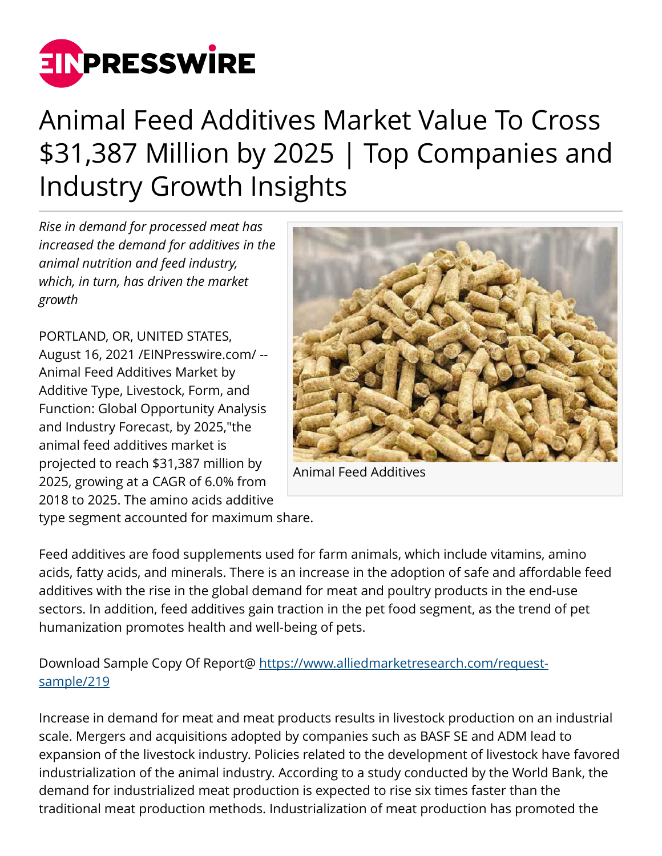

## Animal Feed Additives Market Value To Cross \$31,387 Million by 2025 | Top Companies and Industry Growth Insights

*Rise in demand for processed meat has increased the demand for additives in the animal nutrition and feed industry, which, in turn, has driven the market growth*

PORTLAND, OR, UNITED STATES, August 16, 2021 /[EINPresswire.com/](http://www.einpresswire.com) -- Animal Feed Additives Market by Additive Type, Livestock, Form, and Function: Global Opportunity Analysis and Industry Forecast, by 2025,"the animal feed additives market is projected to reach \$31,387 million by 2025, growing at a CAGR of 6.0% from 2018 to 2025. The amino acids additive



Animal Feed Additives

type segment accounted for maximum share.

Feed additives are food supplements used for farm animals, which include vitamins, amino acids, fatty acids, and minerals. There is an increase in the adoption of safe and affordable feed additives with the rise in the global demand for meat and poultry products in the end-use sectors. In addition, feed additives gain traction in the pet food segment, as the trend of pet humanization promotes health and well-being of pets.

## Download Sample Copy Of Report@ [https://www.alliedmarketresearch.com/request](https://www.alliedmarketresearch.com/request-sample/219)[sample/219](https://www.alliedmarketresearch.com/request-sample/219)

Increase in demand for meat and meat products results in livestock production on an industrial scale. Mergers and acquisitions adopted by companies such as BASF SE and ADM lead to expansion of the livestock industry. Policies related to the development of livestock have favored industrialization of the animal industry. According to a study conducted by the World Bank, the demand for industrialized meat production is expected to rise six times faster than the traditional meat production methods. Industrialization of meat production has promoted the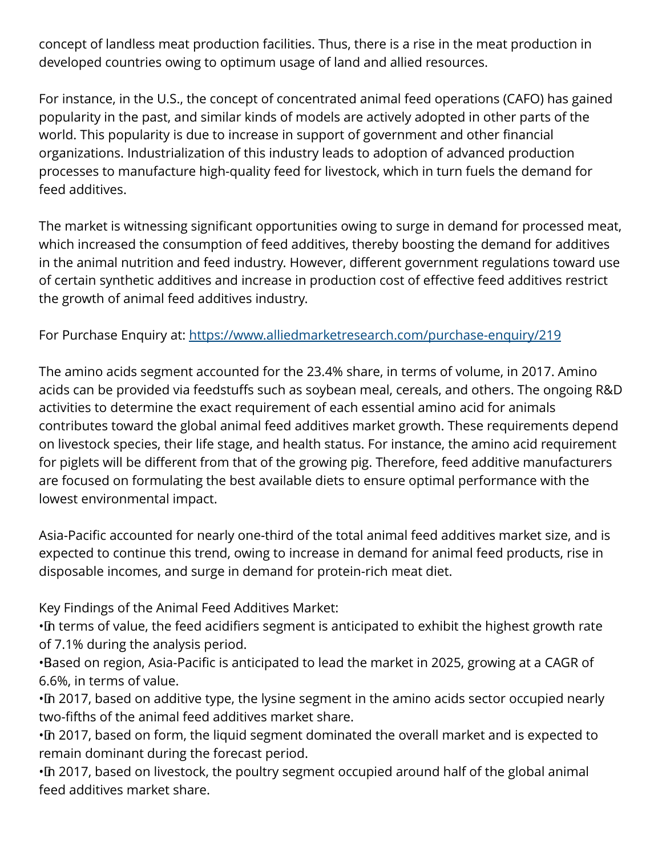concept of landless meat production facilities. Thus, there is a rise in the meat production in developed countries owing to optimum usage of land and allied resources.

For instance, in the U.S., the concept of concentrated animal feed operations (CAFO) has gained popularity in the past, and similar kinds of models are actively adopted in other parts of the world. This popularity is due to increase in support of government and other financial organizations. Industrialization of this industry leads to adoption of advanced production processes to manufacture high-quality feed for livestock, which in turn fuels the demand for feed additives.

The market is witnessing significant opportunities owing to surge in demand for processed meat, which increased the consumption of feed additives, thereby boosting the demand for additives in the animal nutrition and feed industry. However, different government regulations toward use of certain synthetic additives and increase in production cost of effective feed additives restrict the growth of animal feed additives industry.

For Purchase Enquiry at: <https://www.alliedmarketresearch.com/purchase-enquiry/219>

The amino acids segment accounted for the 23.4% share, in terms of volume, in 2017. Amino acids can be provided via feedstuffs such as soybean meal, cereals, and others. The ongoing R&D activities to determine the exact requirement of each essential amino acid for animals contributes toward the global animal feed additives market growth. These requirements depend on livestock species, their life stage, and health status. For instance, the amino acid requirement for piglets will be different from that of the growing pig. Therefore, feed additive manufacturers are focused on formulating the best available diets to ensure optimal performance with the lowest environmental impact.

Asia-Pacific accounted for nearly one-third of the total animal feed additives market size, and is expected to continue this trend, owing to increase in demand for animal feed products, rise in disposable incomes, and surge in demand for protein-rich meat diet.

Key Findings of the Animal Feed Additives Market:

• In terms of value, the feed acidifiers segment is anticipated to exhibit the highest growth rate of 7.1% during the analysis period.

• Based on region, Asia-Pacific is anticipated to lead the market in 2025, growing at a CAGR of 6.6%, in terms of value.

• In 2017, based on additive type, the lysine segment in the amino acids sector occupied nearly two-fifths of the animal feed additives market share.

• In 2017, based on form, the liquid segment dominated the overall market and is expected to remain dominant during the forecast period.

• In 2017, based on livestock, the poultry segment occupied around half of the global animal feed additives market share.